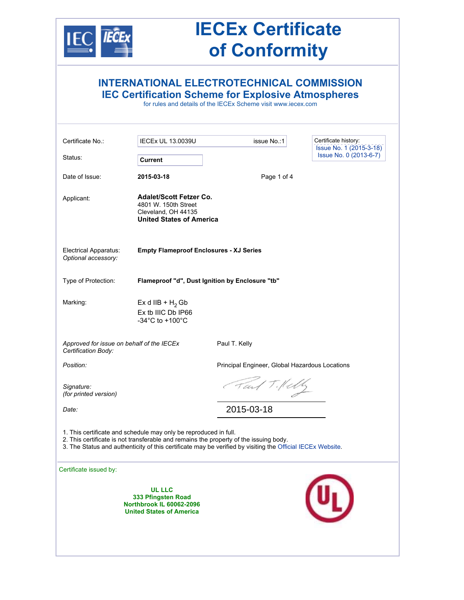

## **IECEx Certificate of Conformity**

|                                                                  |                                                                                                                                                           | <b>INTERNATIONAL ELECTROTECHNICAL COMMISSION</b><br><b>IEC Certification Scheme for Explosive Atmospheres</b><br>for rules and details of the IECEx Scheme visit www.jecex.com |                                                   |
|------------------------------------------------------------------|-----------------------------------------------------------------------------------------------------------------------------------------------------------|--------------------------------------------------------------------------------------------------------------------------------------------------------------------------------|---------------------------------------------------|
| Certificate No.:                                                 | <b>IECEx UL 13.0039U</b>                                                                                                                                  | issue No.:1                                                                                                                                                                    | Certificate history:                              |
| Status:                                                          | Current                                                                                                                                                   |                                                                                                                                                                                | Issue No. 1 (2015-3-18)<br>Issue No. 0 (2013-6-7) |
| Date of Issue:                                                   | 2015-03-18                                                                                                                                                | Page 1 of 4                                                                                                                                                                    |                                                   |
| Applicant:                                                       | <b>Adalet/Scott Fetzer Co.</b><br>4801 W. 150th Street<br>Cleveland, OH 44135<br><b>United States of America</b>                                          |                                                                                                                                                                                |                                                   |
| Electrical Apparatus:<br>Optional accessory:                     | <b>Empty Flameproof Enclosures - XJ Series</b>                                                                                                            |                                                                                                                                                                                |                                                   |
| Type of Protection:                                              | Flameproof "d", Dust Ignition by Enclosure "tb"                                                                                                           |                                                                                                                                                                                |                                                   |
| Marking:                                                         | Ex d IIB + $H_2$ Gb<br>Ex tb IIIC Db IP66<br>-34 $^{\circ}$ C to +100 $^{\circ}$ C                                                                        |                                                                                                                                                                                |                                                   |
| Approved for issue on behalf of the IECEx<br>Certification Body: |                                                                                                                                                           | Paul T. Kelly                                                                                                                                                                  |                                                   |
| Position:                                                        |                                                                                                                                                           | Principal Engineer, Global Hazardous Locations                                                                                                                                 |                                                   |
| Signature:<br>(for printed version)                              |                                                                                                                                                           | Fait Tillely                                                                                                                                                                   |                                                   |
| Date:                                                            |                                                                                                                                                           | 2015-03-18                                                                                                                                                                     |                                                   |
|                                                                  | 1. This certificate and schedule may only be reproduced in full.<br>2. This certificate is not transferable and remains the property of the issuing body. | 3. The Status and authenticity of this certificate may be verified by visiting the Official IECEx Website.                                                                     |                                                   |
| Certificate issued by:                                           |                                                                                                                                                           |                                                                                                                                                                                |                                                   |
|                                                                  | <b>UL LLC</b><br>333 Pfingsten Road<br><b>Northbrook IL 60062-2096</b><br><b>United States of America</b>                                                 |                                                                                                                                                                                |                                                   |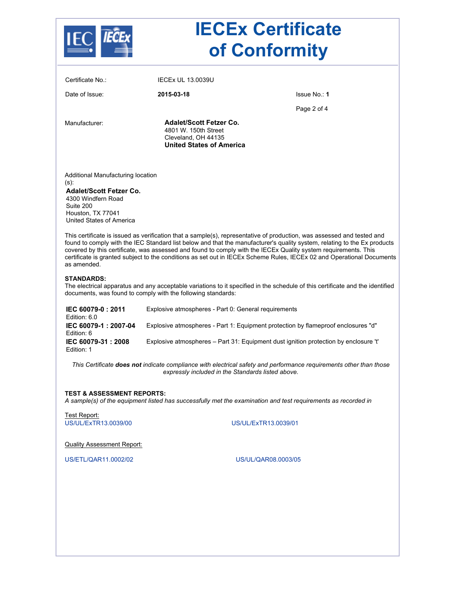

# **IECEx Certificate of Conformity**

| Certificate No.:                                                                                                                                                        | <b>IECEX UL 13.0039U</b>                                                                                         |                                                                                                                                                                                                                                                                                                                                                                                                                                                                                               |  |  |  |
|-------------------------------------------------------------------------------------------------------------------------------------------------------------------------|------------------------------------------------------------------------------------------------------------------|-----------------------------------------------------------------------------------------------------------------------------------------------------------------------------------------------------------------------------------------------------------------------------------------------------------------------------------------------------------------------------------------------------------------------------------------------------------------------------------------------|--|--|--|
| Date of Issue:                                                                                                                                                          | 2015-03-18                                                                                                       | Issue No.: 1                                                                                                                                                                                                                                                                                                                                                                                                                                                                                  |  |  |  |
|                                                                                                                                                                         |                                                                                                                  | Page 2 of 4                                                                                                                                                                                                                                                                                                                                                                                                                                                                                   |  |  |  |
| Manufacturer:                                                                                                                                                           | <b>Adalet/Scott Fetzer Co.</b><br>4801 W. 150th Street<br>Cleveland, OH 44135<br><b>United States of America</b> |                                                                                                                                                                                                                                                                                                                                                                                                                                                                                               |  |  |  |
| Additional Manufacturing location<br>(s):<br><b>Adalet/Scott Fetzer Co.</b><br>4300 Windfern Road<br>Suite 200<br>Houston, TX 77041<br>United States of America         |                                                                                                                  |                                                                                                                                                                                                                                                                                                                                                                                                                                                                                               |  |  |  |
| as amended.                                                                                                                                                             |                                                                                                                  | This certificate is issued as verification that a sample(s), representative of production, was assessed and tested and<br>found to comply with the IEC Standard list below and that the manufacturer's quality system, relating to the Ex products<br>covered by this certificate, was assessed and found to comply with the IECEx Quality system requirements. This<br>certificate is granted subject to the conditions as set out in IECEx Scheme Rules, IECEx 02 and Operational Documents |  |  |  |
| <b>STANDARDS:</b>                                                                                                                                                       | documents, was found to comply with the following standards:                                                     | The electrical apparatus and any acceptable variations to it specified in the schedule of this certificate and the identified                                                                                                                                                                                                                                                                                                                                                                 |  |  |  |
| IEC 60079-0: 2011<br>Edition: 6.0                                                                                                                                       | Explosive atmospheres - Part 0: General requirements                                                             |                                                                                                                                                                                                                                                                                                                                                                                                                                                                                               |  |  |  |
| IEC 60079-1: 2007-04<br>Edition: 6                                                                                                                                      | Explosive atmospheres - Part 1: Equipment protection by flameproof enclosures "d"                                |                                                                                                                                                                                                                                                                                                                                                                                                                                                                                               |  |  |  |
| IEC 60079-31: 2008<br>Edition: 1                                                                                                                                        | Explosive atmospheres - Part 31: Equipment dust ignition protection by enclosure 't'                             |                                                                                                                                                                                                                                                                                                                                                                                                                                                                                               |  |  |  |
| This Certificate does not indicate compliance with electrical safety and performance requirements other than those<br>expressly included in the Standards listed above. |                                                                                                                  |                                                                                                                                                                                                                                                                                                                                                                                                                                                                                               |  |  |  |
| <b>TEST &amp; ASSESSMENT REPORTS:</b>                                                                                                                                   |                                                                                                                  | A sample(s) of the equipment listed has successfully met the examination and test requirements as recorded in                                                                                                                                                                                                                                                                                                                                                                                 |  |  |  |
| Test Report:<br>US/UL/ExTR13.0039/00                                                                                                                                    |                                                                                                                  | US/UL/ExTR13.0039/01                                                                                                                                                                                                                                                                                                                                                                                                                                                                          |  |  |  |
| <b>Quality Assessment Report:</b>                                                                                                                                       |                                                                                                                  |                                                                                                                                                                                                                                                                                                                                                                                                                                                                                               |  |  |  |
| US/ETL/QAR11.0002/02                                                                                                                                                    | US/UL/QAR08.0003/05                                                                                              |                                                                                                                                                                                                                                                                                                                                                                                                                                                                                               |  |  |  |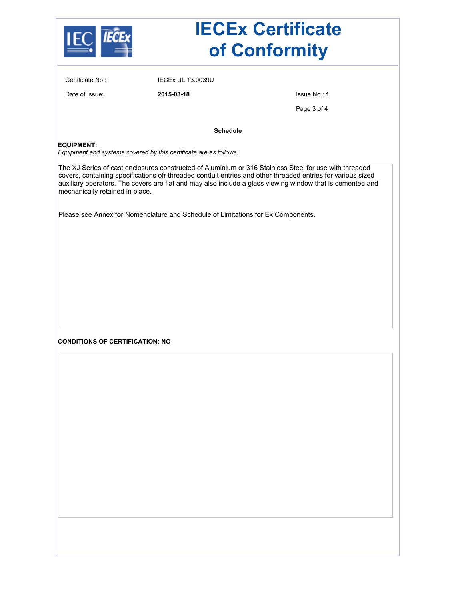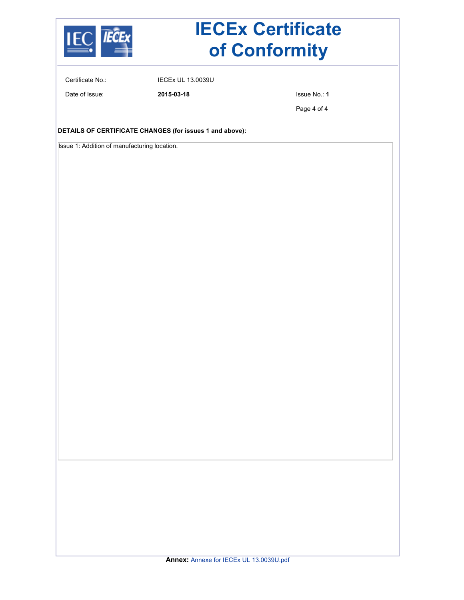

# **IECEx Certificate of Conformity**

Certificate No.: IECEx UL 13.0039U

Date of Issue: **2015-03-18** Issue No.: **1**

Page 4 of 4

**DETAILS OF CERTIFICATE CHANGES (for issues 1 and above):**

Issue 1: Addition of manufacturing location.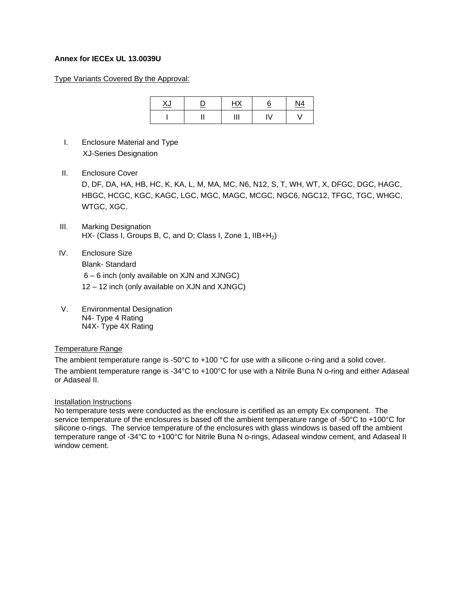### **Annex for IECEx UL 13.0039U**

#### Type Variants Covered By the Approval:

| v<br><u>∧J</u> | ⋍ | $\blacksquare$<br><u>n^</u> | c<br><u>ଠ</u> | <u>N4</u> |
|----------------|---|-----------------------------|---------------|-----------|
|                |   |                             | <b>V</b>      |           |

- I. Enclosure Material and Type XJ-Series Designation
- II. Enclosure Cover

 D, DF, DA, HA, HB, HC, K, KA, L, M, MA, MC, N6, N12, S, T, WH, WT, X, DFGC, DGC, HAGC, HBGC, HCGC, KGC, KAGC, LGC, MGC, MAGC, MCGC, NGC6, NGC12, TFGC, TGC, WHGC, WTGC, XGC.

- III. Marking Designation HX- (Class I, Groups B, C, and D; Class I, Zone 1, IIB+H<sub>2</sub>)
- IV. Enclosure Size Blank- Standard 6 – 6 inch (only available on XJN and XJNGC) 12 – 12 inch (only available on XJN and XJNGC)
- V. Environmental Designation N4- Type 4 Rating N4X- Type 4X Rating

#### Temperature Range

The ambient temperature range is -50°C to +100 °C for use with a silicone o-ring and a solid cover. The ambient temperature range is -34°C to +100°C for use with a Nitrile Buna N o-ring and either Adaseal or Adaseal II.

#### Installation Instructions

No temperature tests were conducted as the enclosure is certified as an empty Ex component. The service temperature of the enclosures is based off the ambient temperature range of -50°C to +100°C for silicone o-rings. The service temperature of the enclosures with glass windows is based off the ambient temperature range of -34°C to +100°C for Nitrile Buna N o-rings, Adaseal window cement, and Adaseal II window cement.